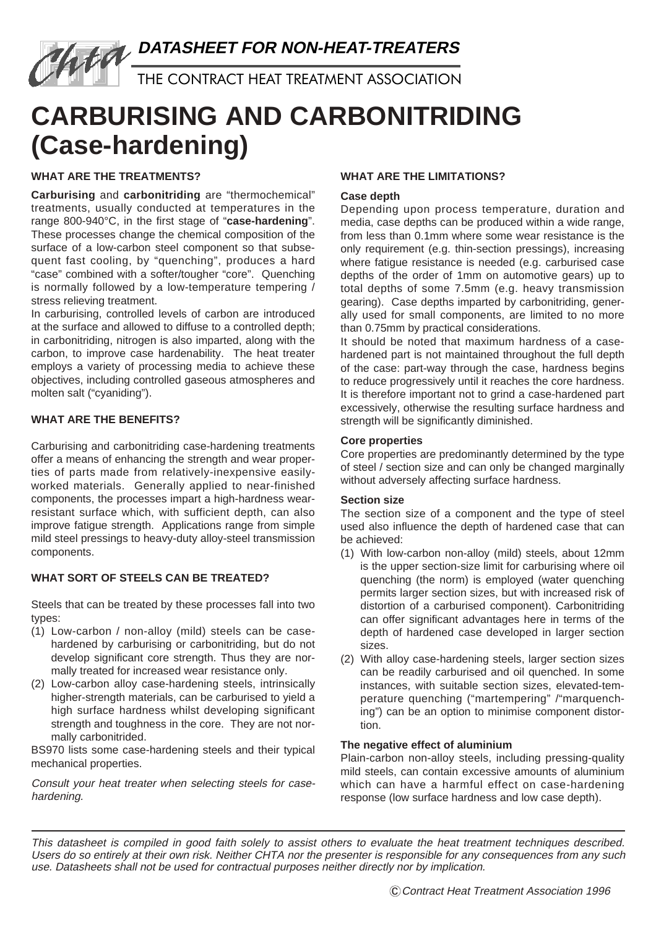

# **CARBURISING AND CARBONITRIDING (Case-hardening)**

# **WHAT ARE THE TREATMENTS?**

**Carburising** and **carbonitriding** are "thermochemical" treatments, usually conducted at temperatures in the range 800-940°C, in the first stage of "**case-hardening**". These processes change the chemical composition of the surface of a low-carbon steel component so that subsequent fast cooling, by "quenching", produces a hard "case" combined with a softer/tougher "core". Quenching is normally followed by a low-temperature tempering / stress relieving treatment.

In carburising, controlled levels of carbon are introduced at the surface and allowed to diffuse to a controlled depth; in carbonitriding, nitrogen is also imparted, along with the carbon, to improve case hardenability. The heat treater employs a variety of processing media to achieve these objectives, including controlled gaseous atmospheres and molten salt ("cyaniding").

## **WHAT ARE THE BENEFITS?**

Carburising and carbonitriding case-hardening treatments offer a means of enhancing the strength and wear properties of parts made from relatively-inexpensive easilyworked materials. Generally applied to near-finished components, the processes impart a high-hardness wearresistant surface which, with sufficient depth, can also improve fatigue strength. Applications range from simple mild steel pressings to heavy-duty alloy-steel transmission components.

# **WHAT SORT OF STEELS CAN BE TREATED?**

Steels that can be treated by these processes fall into two types:

- (1) Low-carbon / non-alloy (mild) steels can be casehardened by carburising or carbonitriding, but do not develop significant core strength. Thus they are normally treated for increased wear resistance only.
- (2) Low-carbon alloy case-hardening steels, intrinsically higher-strength materials, can be carburised to yield a high surface hardness whilst developing significant strength and toughness in the core. They are not normally carbonitrided.

BS970 lists some case-hardening steels and their typical mechanical properties.

Consult your heat treater when selecting steels for casehardening.

## **WHAT ARE THE LIMITATIONS?**

## **Case depth**

Depending upon process temperature, duration and media, case depths can be produced within a wide range, from less than 0.1mm where some wear resistance is the only requirement (e.g. thin-section pressings), increasing where fatigue resistance is needed (e.g. carburised case depths of the order of 1mm on automotive gears) up to total depths of some 7.5mm (e.g. heavy transmission gearing). Case depths imparted by carbonitriding, generally used for small components, are limited to no more than 0.75mm by practical considerations.

It should be noted that maximum hardness of a casehardened part is not maintained throughout the full depth of the case: part-way through the case, hardness begins to reduce progressively until it reaches the core hardness. It is therefore important not to grind a case-hardened part excessively, otherwise the resulting surface hardness and strength will be significantly diminished.

## **Core properties**

Core properties are predominantly determined by the type of steel / section size and can only be changed marginally without adversely affecting surface hardness.

## **Section size**

The section size of a component and the type of steel used also influence the depth of hardened case that can be achieved:

- (1) With low-carbon non-alloy (mild) steels, about 12mm is the upper section-size limit for carburising where oil quenching (the norm) is employed (water quenching permits larger section sizes, but with increased risk of distortion of a carburised component). Carbonitriding can offer significant advantages here in terms of the depth of hardened case developed in larger section sizes.
- (2) With alloy case-hardening steels, larger section sizes can be readily carburised and oil quenched. In some instances, with suitable section sizes, elevated-temperature quenching ("martempering" /"marquenching") can be an option to minimise component distortion.

## **The negative effect of aluminium**

Plain-carbon non-alloy steels, including pressing-quality mild steels, can contain excessive amounts of aluminium which can have a harmful effect on case-hardening response (low surface hardness and low case depth).

This datasheet is compiled in good faith solely to assist others to evaluate the heat treatment techniques described. Users do so entirely at their own risk. Neither CHTA nor the presenter is responsible for any consequences from any such use. Datasheets shall not be used for contractual purposes neither directly nor by implication.